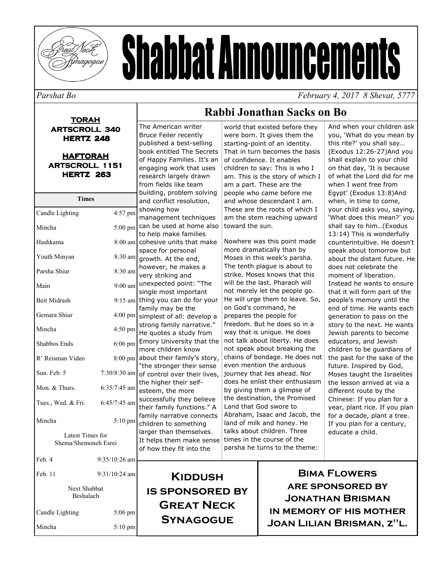

# **Shabbat Announcements**

#### Parshat Bo

February 4, 2017 8 Shevat, 5777

### **TORAH ARTSCROLL 340 HERTZ 248 HAFTORAH ARTSCROLL 1151 HERTZ 263 Times** Candle Lighting 4:57 pm Mincha  $5:00$  pm Hashkama Youth Minyan 8:30 am 8:30 am Parsha Shiur Main Beit Midrash Gemara Shiur  $4:50$  pm Mincha Shabbos Ends 6:06 pm R' Reisman Video Sun, Feb. 5 Mon. & Thurs.  $6:35/7:45$  am Tues., Wed. & Fri. 6:45/7:45 am  $5:10~\text{nm}$ Mincha

Latest Times for Shema/Shemoneh Esrei

Feb. 4 9:35/10:26 am Feb. 11 9:31/10:24 am Next Shabbat Beshalach Candle Lighting  $5:06$  pm Mincha  $5:10$  pm

#### **Bruce Feiler recently** published a best-selling book entitled The Secrets of Happy Families. It's an engaging work that uses research largely drawn from fields like team building, problem solving and conflict resolution, showing how management techniques can be used at home also to help make families  $8:00$  am cohesive units that make space for personal growth. At the end, however, he makes a very striking and 9:00 am unexpected point: "The single most important  $9:15$  am thing you can do for your family may be the 4:00 pm simplest of all: develop a strong family narrative." He quotes a study from Emory University that the more children know 8:00 pm about their family's story, "the stronger their sense 7:30/8:30 am of control over their lives, the higher their selfesteem, the more successfully they believe their family functions." A family narrative connects children to something larger than themselves. It helps them make sense of how they fit into the

The American writer

world that existed before they were born. It gives them the starting-point of an identity. That in turn becomes the basis of confidence. It enables children to say: This is who I am. This is the story of which I am a part. These are the people who came before me and whose descendant I am. These are the roots of which I am the stem reaching upward toward the sun.

Rabbi Jonathan Sacks on Bo

Nowhere was this point made more dramatically than by Moses in this week's parsha. The tenth plague is about to strike. Moses knows that this will be the last. Pharaoh will not merely let the people go. He will urge them to leave. So, on God's command, he prepares the people for freedom. But he does so in a way that is unique. He does not talk about liberty. He does not speak about breaking the chains of bondage. He does not even mention the arduous journey that lies ahead. Nor does he enlist their enthusiasm by giving them a glimpse of the destination, the Promised Land that God swore to Abraham, Isaac and Jacob, the land of milk and honey. He talks about children. Three times in the course of the parsha he turns to the theme:

And when your children ask you, 'What do you mean by this rite?' you shall say... (Exodus 12:26-27) And you shall explain to your child on that day, 'It is because of what the Lord did for me when I went free from Eqypt' (Exodus 13:8)And when, in time to come, your child asks you, saying, 'What does this mean?' you shall say to him...(Exodus 13:14) This is wonderfully counterintuitive. He doesn't speak about tomorrow but about the distant future. He does not celebrate the moment of liberation. Instead he wants to ensure that it will form part of the people's memory until the end of time. He wants each generation to pass on the story to the next. He wants Jewish parents to become educators, and Jewish children to be quardians of the past for the sake of the future. Inspired by God, Moses taught the Israelites the lesson arrived at via a different route by the Chinese: If you plan for a year, plant rice. If you plan for a decade, plant a tree. If you plan for a century, educate a child.

KIDDUSH **IS SPONSORED BY GREAT NECK SYNAGOGUE** 

**BIMA FLOWERS ARE SPONSORED BY JONATHAN BRISMAN** IN MEMORY OF HIS MOTHER **JOAN LILIAN BRISMAN, Z"L.**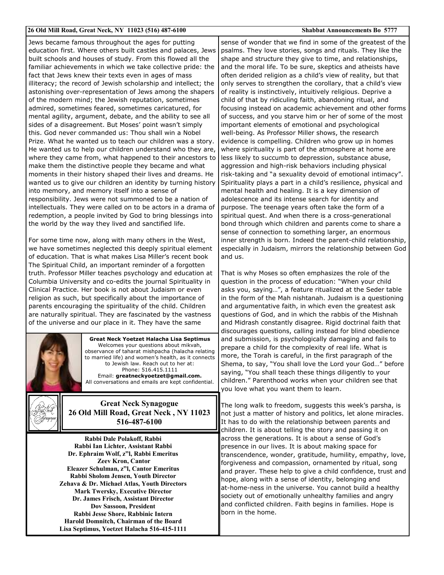#### 26 Old Mill Road, Great Neck, NY 11023 (516) 487-6100

**Shabbat Announcements Bo 5777** 

Jews became famous throughout the ages for putting education first. Where others built castles and palaces, Jews built schools and houses of study. From this flowed all the familiar achievements in which we take collective pride: the fact that Jews knew their texts even in ages of mass illiteracy; the record of Jewish scholarship and intellect; the astonishing over-representation of Jews among the shapers of the modern mind; the Jewish reputation, sometimes admired, sometimes feared, sometimes caricatured, for mental agility, argument, debate, and the ability to see all sides of a disagreement. But Moses' point wasn't simply this. God never commanded us: Thou shall win a Nobel Prize. What he wanted us to teach our children was a story. He wanted us to help our children understand who they are, where they came from, what happened to their ancestors to make them the distinctive people they became and what moments in their history shaped their lives and dreams. He wanted us to give our children an identity by turning history into memory, and memory itself into a sense of responsibility. Jews were not summoned to be a nation of intellectuals. They were called on to be actors in a drama of redemption, a people invited by God to bring blessings into the world by the way they lived and sanctified life.

For some time now, along with many others in the West, we have sometimes neglected this deeply spiritual element of education. That is what makes Lisa Miller's recent book The Spiritual Child, an important reminder of a forgotten truth. Professor Miller teaches psychology and education at Columbia University and co-edits the journal Spirituality in Clinical Practice. Her book is not about Judaism or even religion as such, but specifically about the importance of parents encouraging the spirituality of the child. Children are naturally spiritual. They are fascinated by the vastness of the universe and our place in it. They have the same



**Great Neck Yoetzet Halacha Lisa Septimus** Welcomes your questions about mikvah, observance of taharat mishpacha (halacha relating to married life) and women's health, as it connects to Jewish law. Reach out to her at: Phone: 516.415.1111 Email: greatneckyoetzet@gmail.com. All conversations and emails are kept confidential.



**Great Neck Synagogue** 26 Old Mill Road, Great Neck, NY 11023 516-487-6100

Rabbi Dale Polakoff, Rabbi Rabbi Ian Lichter, Assistant Rabbi Dr. Ephraim Wolf, z"l, Rabbi Emeritus **Zeev Kron, Cantor** Eleazer Schulman, z"l, Cantor Emeritus Rabbi Sholom Jensen, Youth Director Zehava & Dr. Michael Atlas, Youth Directors **Mark Twersky, Executive Director** Dr. James Frisch, Assistant Director **Dov Sassoon, President** Rabbi Jesse Shore, Rabbinic Intern Harold Domnitch, Chairman of the Board Lisa Septimus, Yoetzet Halacha 516-415-1111

sense of wonder that we find in some of the greatest of the psalms. They love stories, songs and rituals. They like the shape and structure they give to time, and relationships, and the moral life. To be sure, skeptics and atheists have often derided religion as a child's view of reality, but that only serves to strengthen the corollary, that a child's view of reality is instinctively, intuitively religious. Deprive a child of that by ridiculing faith, abandoning ritual, and focusing instead on academic achievement and other forms of success, and you starve him or her of some of the most important elements of emotional and psychological well-being. As Professor Miller shows, the research evidence is compelling. Children who grow up in homes where spirituality is part of the atmosphere at home are less likely to succumb to depression, substance abuse, aggression and high-risk behaviors including physical risk-taking and "a sexuality devoid of emotional intimacy". Spirituality plays a part in a child's resilience, physical and mental health and healing. It is a key dimension of adolescence and its intense search for identity and purpose. The teenage years often take the form of a spiritual quest. And when there is a cross-generational bond through which children and parents come to share a sense of connection to something larger, an enormous inner strength is born. Indeed the parent-child relationship, especially in Judaism, mirrors the relationship between God and us.

That is why Moses so often emphasizes the role of the question in the process of education: "When your child asks you, saying...", a feature ritualized at the Seder table in the form of the Mah nishtanah. Judaism is a questioning and argumentative faith, in which even the greatest ask questions of God, and in which the rabbis of the Mishnah and Midrash constantly disagree. Rigid doctrinal faith that discourages questions, calling instead for blind obedience and submission, is psychologically damaging and fails to prepare a child for the complexity of real life. What is more, the Torah is careful, in the first paragraph of the Shema, to say, "You shall love the Lord your God..." before saying, "You shall teach these things diligently to your children." Parenthood works when your children see that you love what you want them to learn.

The long walk to freedom, suggests this week's parsha, is not just a matter of history and politics, let alone miracles. It has to do with the relationship between parents and children. It is about telling the story and passing it on across the generations. It is about a sense of God's presence in our lives. It is about making space for transcendence, wonder, gratitude, humility, empathy, love, forgiveness and compassion, ornamented by ritual, song and prayer. These help to give a child confidence, trust and hope, along with a sense of identity, belonging and at-home-ness in the universe. You cannot build a healthy society out of emotionally unhealthy families and angry and conflicted children. Faith begins in families. Hope is born in the home.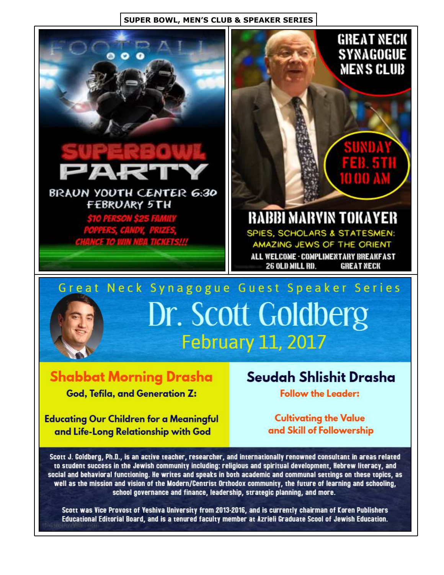### **SUPER BOWL, MEN'S CLUB & SPEAKER SERIES**



Dr. Scott Goldberg **February 11, 2017** 

**Shabbat Morning Drasha** God, Tefila, and Generation Z:

**Educating Our Children for a Meaningful** and Life-Long Relationship with God

### Seudah Shlishit Drasha

**Follow the Leader:** 

**Cultivating the Value** and Skill of Followership

Scott J. Goldberg, Ph.D., is an active teacher, researcher, and internationally renowned consultant in areas related to student success in the Jewish community including: religious and spiritual development, Hebrew literacy, and social and behavioral functioning. He writes and speaks in both academic and communal settings on these topics, as well as the mission and vision of the Modern/Centrist Orthodox community, the future of learning and schooling, school governance and finance, leadership, strategic planning, and more.

Scott was Vice Provost of Yeshiva University from 2013-2016, and is currently chairman of Koren Publishers Educational Editorial Board, and is a tenured faculty member at Azrieli Graduate Scool of Jewish Education.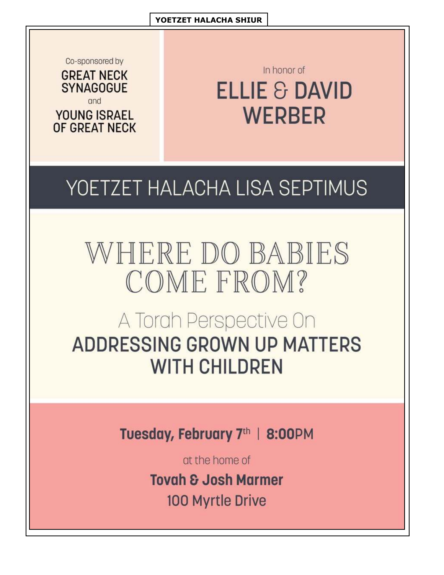Co-sponsored by



**YOUNG ISRAEL** OF GREAT NECK

In honor of **ELLIE & DAVID WERBER** 

## YOETZET HALACHA LISA SEPTIMUS

# WHERE DO BABIES COME FROM?

### A Torah Perspective On **ADDRESSING GROWN UP MATTERS WITH CHILDREN**

Tuesday, February 7th | 8:00PM

at the home of

**Tovah & Josh Marmer** 

100 Myrtle Drive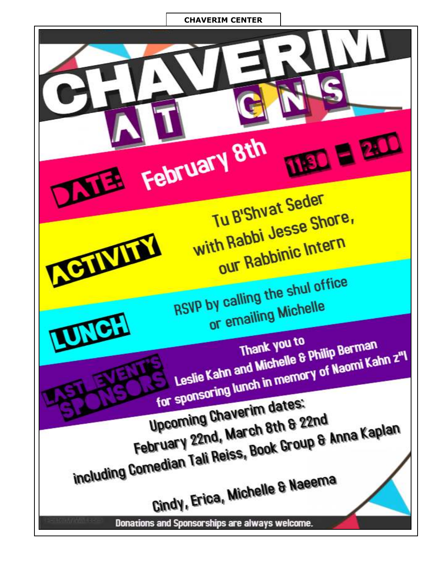### **CHAVERIM CENTER**

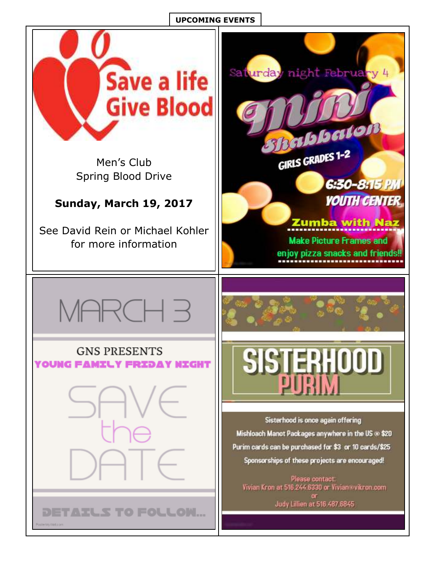### **UPCOMING EVENTS**

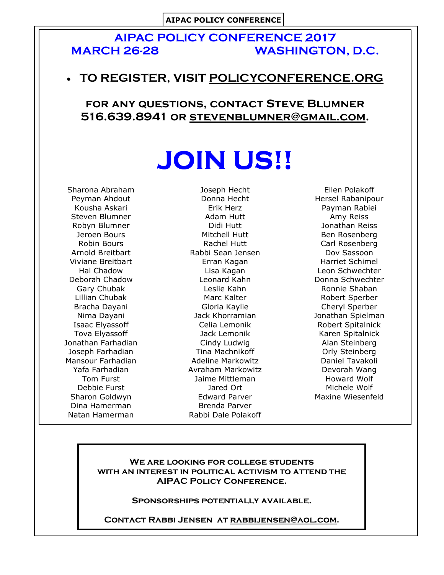### **AIPAC POLICY CONFERENCE 2017 MARCH 26-28 WASHINGTON, D.C.**

### • TO REGISTER, VISIT POLICYCONFERENCE.ORG

FOR ANY QUESTIONS, CONTACT STEVE BLUMNER 516.639.8941 OR STEVENBLUMNER@GMAIL.COM.

# **JOIN US!!**

Sharona Abraham Peyman Ahdout Kousha Askari Steven Blumner Robyn Blumner Jeroen Bours Robin Bours Arnold Breitbart Viviane Breitbart Hal Chadow Deborah Chadow Gary Chubak Lillian Chubak Bracha Dayani Nima Dayani Isaac Elyassoff Tova Elvassoff Jonathan Farhadian Joseph Farhadian Mansour Farhadian Yafa Farhadian Tom Furst Debbie Furst Sharon Goldwyn Dina Hamerman Natan Hamerman

Joseph Hecht Donna Hecht Erik Herz Adam Hutt Didi Hutt Mitchell Hutt Rachel Hutt Rabbi Sean Jensen Erran Kagan Lisa Kagan Leonard Kahn Leslie Kahn Marc Kalter Gloria Kaylie Jack Khorramian Celia Lemonik Jack Lemonik Cindy Ludwig Tina Machnikoff **Adeline Markowitz** Avraham Markowitz Jaime Mittleman Jared Ort Edward Parver Brenda Parver Rabbi Dale Polakoff

Ellen Polakoff Hersel Rabanipour Payman Rabiei Amy Reiss Jonathan Reiss Ben Rosenberg Carl Rosenberg Dov Sassoon Harriet Schimel Leon Schwechter Donna Schwechter Ronnie Shaban Robert Sperber Cheryl Sperber Jonathan Spielman Robert Spitalnick Karen Spitalnick Alan Steinberg Orly Steinberg Daniel Tavakoli Devorah Wang **Howard Wolf** Michele Wolf Maxine Wiesenfeld

### WE ARE LOOKING FOR COLLEGE STUDENTS WITH AN INTEREST IN POLITICAL ACTIVISM TO ATTEND THE **AIPAC POLICY CONFERENCE.**

SPONSORSHIPS POTENTIALLY AVAILABLE.

CONTACT RABBI JENSEN AT RABBIJENSEN@AOL.COM.